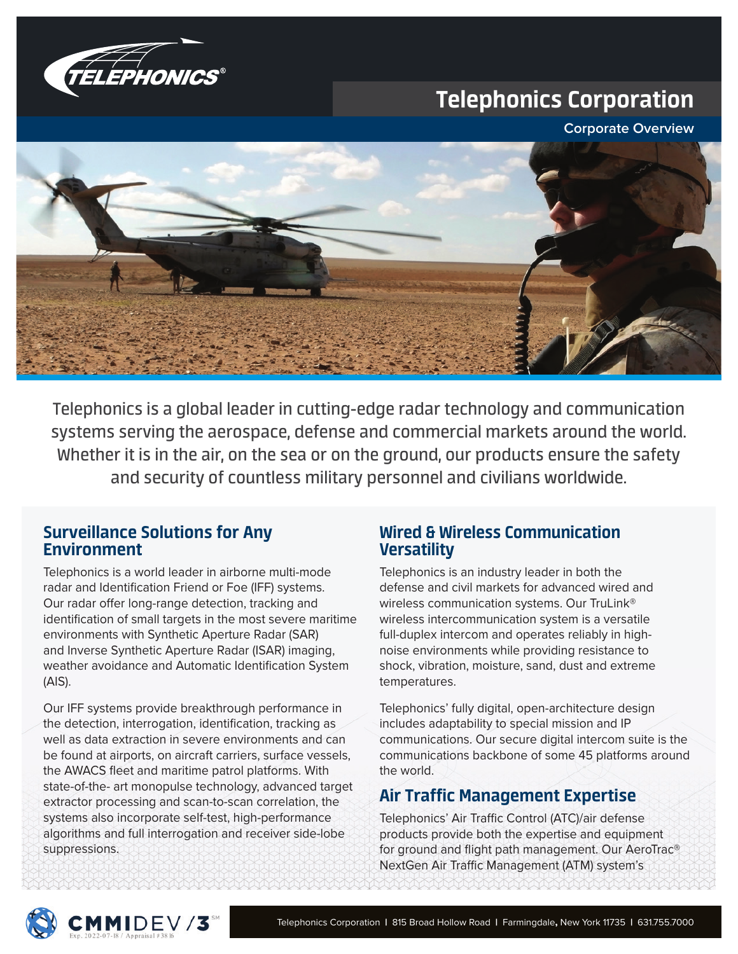

# Telephonics Corporation

**Corporate Overview**



Telephonics is a global leader in cutting-edge radar technology and communication systems serving the aerospace, defense and commercial markets around the world. Whether it is in the air, on the sea or on the ground, our products ensure the safety and security of countless military personnel and civilians worldwide.

#### Surveillance Solutions for Any Environment

Telephonics is a world leader in airborne multi-mode radar and Identification Friend or Foe (IFF) systems. Our radar offer long-range detection, tracking and identification of small targets in the most severe maritime environments with Synthetic Aperture Radar (SAR) and Inverse Synthetic Aperture Radar (ISAR) imaging, weather avoidance and Automatic Identification System (AIS).

Our IFF systems provide breakthrough performance in the detection, interrogation, identification, tracking as well as data extraction in severe environments and can be found at airports, on aircraft carriers, surface vessels, the AWACS fleet and maritime patrol platforms. With state-of-the- art monopulse technology, advanced target extractor processing and scan-to-scan correlation, the systems also incorporate self-test, high-performance algorithms and full interrogation and receiver side-lobe suppressions.

### Wired & Wireless Communication **Versatility**

Telephonics is an industry leader in both the defense and civil markets for advanced wired and wireless communication systems. Our TruLink® wireless intercommunication system is a versatile full-duplex intercom and operates reliably in highnoise environments while providing resistance to shock, vibration, moisture, sand, dust and extreme temperatures.

Telephonics' fully digital, open-architecture design includes adaptability to special mission and IP communications. Our secure digital intercom suite is the communications backbone of some 45 platforms around the world.

## Air Traffic Management Expertise

Telephonics' Air Traffic Control (ATC)/air defense products provide both the expertise and equipment for ground and flight path management. Our AeroTrac® NextGen Air Traffic Management (ATM) system's